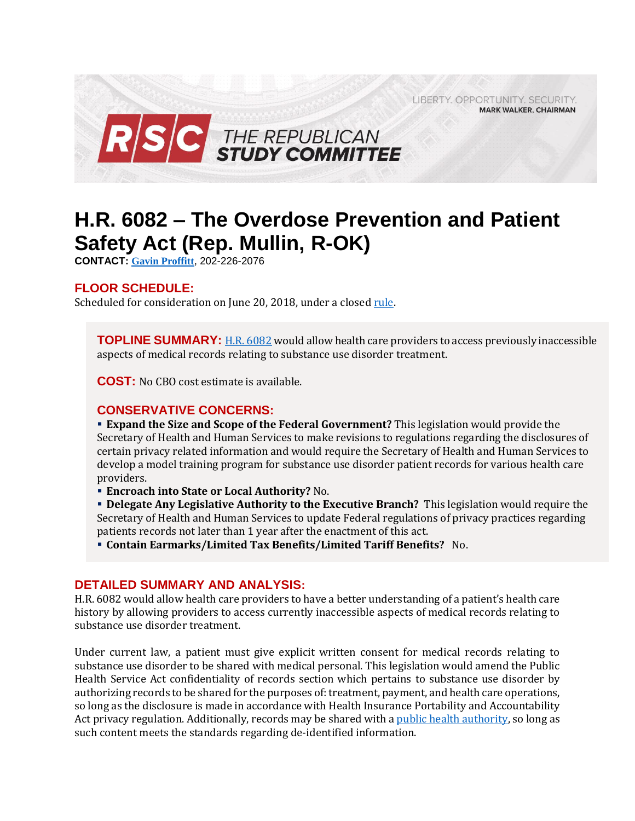LIBERTY. OPPORTUNITY. SECURITY. **MARK WALKER, CHAIRMAN** 



# **H.R. 6082 – The Overdose Prevention and Patient Safety Act (Rep. Mullin, R-OK)**

**CONTACT: [Gavin Proffitt](mailto:Gavin.Proffitt@mail.house.gov)**, 202-226-2076

## **FLOOR SCHEDULE:**

Scheduled for consideration on June 20, 2018, under a closed [rule.](https://rules.house.gov/sites/republicans.rules.house.gov/files/Rule_HR6HR5797HR6082.pdf)

**TOPLINE SUMMARY:** [H.R. 6082](https://docs.house.gov/billsthisweek/20180618/BILLS-115HR6082-RCP115-75.pdf) would allow health care providers to access previously inaccessible aspects of medical records relating to substance use disorder treatment.

**COST:** No CBO cost estimate is available.

### **CONSERVATIVE CONCERNS:**

 **Expand the Size and Scope of the Federal Government?** This legislation would provide the Secretary of Health and Human Services to make revisions to regulations regarding the disclosures of certain privacy related information and would require the Secretary of Health and Human Services to develop a model training program for substance use disorder patient records for various health care providers.

**Encroach into State or Local Authority?** No.

 **Delegate Any Legislative Authority to the Executive Branch?** This legislation would require the Secretary of Health and Human Services to update Federal regulations of privacy practices regarding patients records not later than 1 year after the enactment of this act.

**Contain Earmarks/Limited Tax Benefits/Limited Tariff Benefits?** No.

#### **DETAILED SUMMARY AND ANALYSIS:**

H.R. 6082 would allow health care providers to have a better understanding of a patient's health care history by allowing providers to access currently inaccessible aspects of medical records relating to substance use disorder treatment.

Under current law, a patient must give explicit written consent for medical records relating to substance use disorder to be shared with medical personal. This legislation would amend the Public Health Service Act confidentiality of records section which pertains to substance use disorder by authorizing records to be shared for the purposes of: treatment, payment, and health care operations, so long as the disclosure is made in accordance with Health Insurance Portability and Accountability Act privacy regulation. Additionally, records may be shared with [a public health authority,](https://www.law.cornell.edu/cfr/text/45/164.501) so long as such content meets the standards regarding de-identified information.